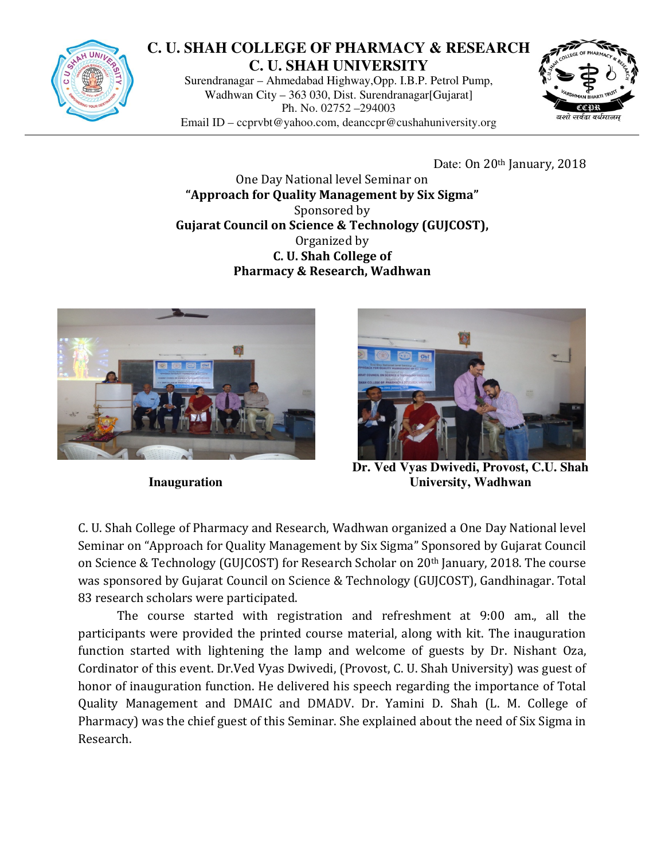

## **C. U. SHAH COLLEGE OF PHARMACY & RESEARCH C. U. SHAH UNIVERSITY**

Surendranagar – Ahmedabad Highway,Opp. I.B.P. Petrol Pump, Wadhwan City – 363 030, Dist. Surendranagar[Gujarat] Ph. No. 02752 –294003 Email ID – ccprvbt@yahoo.com, deanccpr@cushahuniversity.org



Date: On 20<sup>th</sup> January, 2018

One Day National level Seminar on "Approach for Quality Management by Six Sigma" Sponsored by Gujarat Council on Science & Technology (GUJCOST), Organized by C. U. Shah College of Pharmacy & Research, Wadhwan



**Inauguration** 



**Dr. Ved Vyas Dwivedi, Provost, C.U. Shah University, Wadhwan** 

C. U. Shah College of Pharmacy and Research, Wadhwan organized a One Day National level Seminar on "Approach for Quality Management by Six Sigma" Sponsored by Gujarat Council on Science & Technology (GUJCOST) for Research Scholar on 20th January, 2018. The course was sponsored by Gujarat Council on Science & Technology (GUJCOST), Gandhinagar. Total 83 research scholars were participated.

The course started with registration and refreshment at 9:00 am., all the participants were provided the printed course material, along with kit. The inauguration function started with lightening the lamp and welcome of guests by Dr. Nishant Oza, Cordinator of this event. Dr.Ved Vyas Dwivedi, (Provost, C. U. Shah University) was guest of honor of inauguration function. He delivered his speech regarding the importance of Total Quality Management and DMAIC and DMADV. Dr. Yamini D. Shah (L. M. College of Pharmacy) was the chief guest of this Seminar. She explained about the need of Six Sigma in Research.